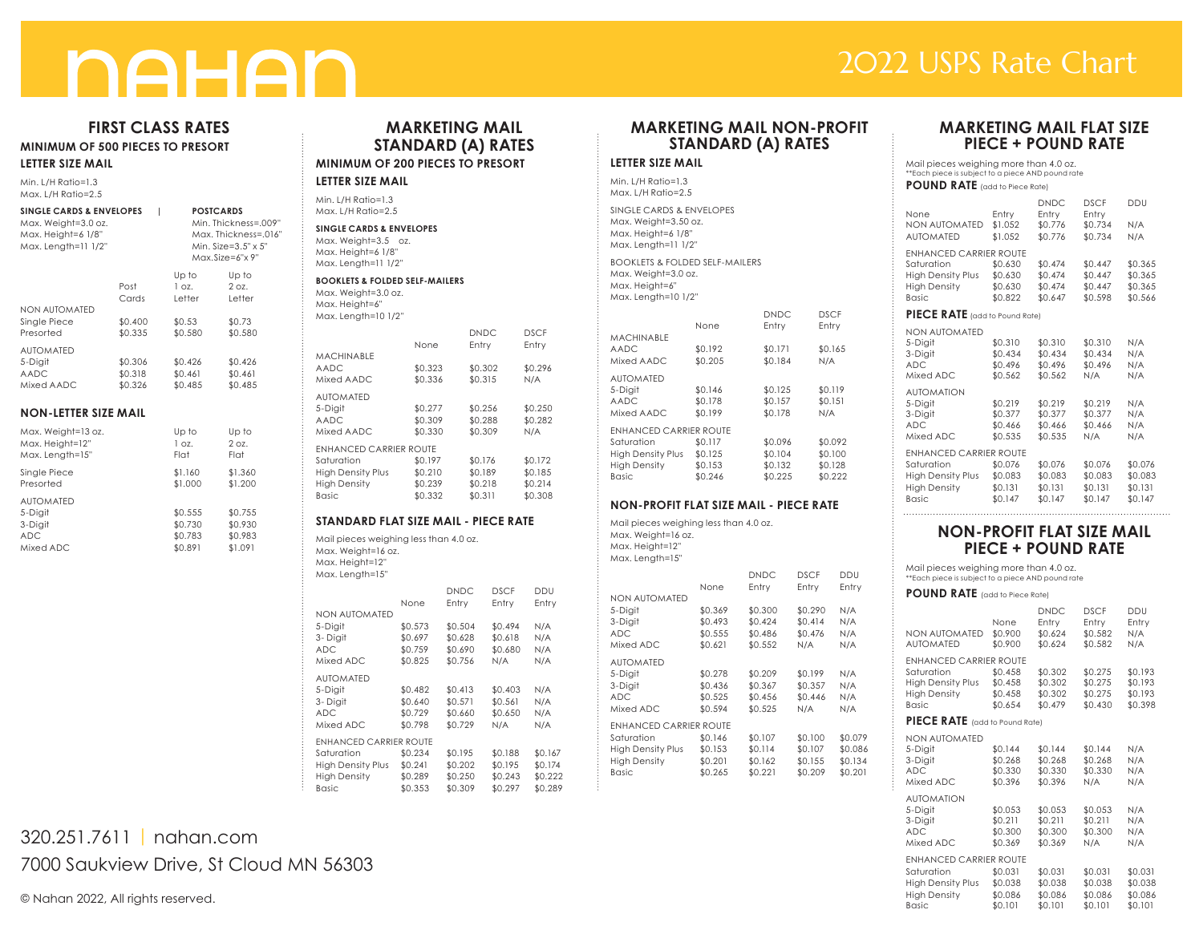# **NAHAN**

# 2022 USPS Rate Chart

# **FIRST CLASS RATES**

**MINIMUM OF 500 PIECES TO PRESORT**

#### **LETTER SIZE MAIL**

Min. L/H Ratio=1.3 Max. L/H Ratio=2.5

| <b>SINGLE CARDS &amp; ENVELOPES</b><br>Max. Weight=3.0 oz.<br>Max. Height=6 1/8"<br>Max. Length=11 1/2" |                               | <b>POSTCARDS</b><br>Min. Thickness=.009"<br>Max. Thickness=.016'<br>Min. Size=3.5" x 5"<br>Max.Size=6"x 9" |                                          |  |
|---------------------------------------------------------------------------------------------------------|-------------------------------|------------------------------------------------------------------------------------------------------------|------------------------------------------|--|
| <b>NON AUTOMATED</b>                                                                                    | Post<br>Cards                 | Up to<br>1 oz.<br>Letter                                                                                   | Up to<br>2 oz.<br>Letter                 |  |
| Single Piece<br>Presorted                                                                               | \$0.400<br>\$0.335            | \$0.53<br>\$0.580                                                                                          | \$0.73<br>\$0.580                        |  |
| <b>AUTOMATED</b><br>5-Digit<br><b>AADC</b><br>Mixed AADC                                                | \$0.306<br>\$0.318<br>\$0.326 | \$0.426<br>\$0.461<br>\$0.485                                                                              | \$0.426<br>\$0.461<br>\$0.485            |  |
| <b>NON-LETTER SIZE MAIL</b>                                                                             |                               |                                                                                                            |                                          |  |
| Max. Weight=13 oz.<br>Max. Height=12"<br>Max. Length=15"                                                |                               | Up to<br>1 oz.<br>Flat                                                                                     | Up to<br>2 oz.<br>Flat                   |  |
| Single Piece<br>Presorted                                                                               |                               | \$1.160<br>\$1.000                                                                                         | \$1.360<br>\$1.200                       |  |
| <b>AUTOMATED</b><br>5-Digit<br>3-Digit<br><b>ADC</b><br>Mixed ADC                                       |                               | \$0.555<br>\$0.730<br>\$0.783<br>\$0.891                                                                   | \$0.755<br>\$0.930<br>\$0.983<br>\$1.091 |  |

# **MARKETING MAIL STANDARD (A) RATES MINIMUM OF 200 PIECES TO PRESORT**

#### **LETTER SIZE MAIL**

Min. L/H Ratio=1.3 Max. L/H Ratio=2.5

**SINGLE CARDS & ENVELOPES** Max. Weight=3.5 oz. Max. Height=6 1/8" Max. Length=11 1/2"

#### **BOOKLETS & FOLDED SELF-MAILERS** Max. Weight=3.0 oz.

Max. Height=6" Max. Length=10 1/2"

|                               | None    | <b>DNDC</b><br>Entry | <b>DSCF</b><br>Entry |
|-------------------------------|---------|----------------------|----------------------|
| <b>MACHINABLE</b>             |         |                      |                      |
| <b>AADC</b>                   | \$0.323 | \$0.302              | \$0.296              |
| Mixed AADC                    | \$0.336 | \$0.315              | N/A                  |
| <b>AUTOMATED</b>              |         |                      |                      |
| 5-Digit                       | \$0.277 | \$0.256              | \$0.250              |
| AADC                          | \$0.309 | \$0.288              | \$0.282              |
| Mixed AADC                    | \$0.330 | \$0.309              | N/A                  |
| <b>ENHANCED CARRIER ROUTE</b> |         |                      |                      |
| Saturation                    | \$0.197 | \$0.176              | \$0.172              |
| <b>High Density Plus</b>      | \$0.210 | \$0.189              | \$0.185              |
| <b>High Density</b>           | \$0.239 | \$0.218              | \$0.214              |
| <b>Basic</b>                  | \$0.332 | \$0.311              | \$0.308              |

#### **STANDARD FLAT SIZE MAIL - PIECE RATE**

Mail pieces weighing less than 4.0 oz. Max. Weight=16 oz. Max. Height=12"

| Max. Length=15"               |         |                      |                      |              |
|-------------------------------|---------|----------------------|----------------------|--------------|
|                               | None    | <b>DNDC</b><br>Entry | <b>DSCF</b><br>Entry | DDU<br>Entry |
| <b>NON AUTOMATED</b>          |         |                      |                      |              |
| 5-Digit                       | \$0.573 | \$0.504              | \$0.494              | N/A          |
| 3-Digit                       | \$0.697 | \$0.628              | \$0.618              | N/A          |
| <b>ADC</b>                    | \$0.759 | \$0.690              | \$0.680              | N/A          |
| Mixed ADC                     | \$0.825 | \$0.756              | N/A                  | N/A          |
| <b>AUTOMATED</b>              |         |                      |                      |              |
| 5-Digit                       | \$0.482 | \$0.413              | \$0.403              | N/A          |
| 3-Digit                       | \$0.640 | \$0.571              | \$0.561              | N/A          |
| <b>ADC</b>                    | \$0.729 | \$0.660              | \$0.650              | N/A          |
| Mixed ADC                     | \$0.798 | \$0.729              | N/A                  | N/A          |
| <b>ENHANCED CARRIER ROUTE</b> |         |                      |                      |              |
| Saturation                    | \$0.234 | \$0.195              | \$0.188              | \$0.167      |
| <b>High Density Plus</b>      | \$0.241 | \$0.202              | \$0.195              | \$0.174      |
| <b>High Density</b>           | \$0.289 | \$0.250              | \$0.243              | \$0.222      |
| <b>Basic</b>                  | \$0.353 | \$0.309              | \$0.297              | \$0.289      |

# 320.251.7611 | nahan.com 7000 Saukview Drive, St Cloud MN 56303

© Nahan 2022, All rights reserved.

# **MARKETING MAIL NON-PROFIT STANDARD (A) RATES**

## **LETTER SIZE MAIL**

Min. L/H Ratio=1.3 Max. L/H Ratio=2.5 SINGLE CARDS & ENVELOPES Max. Weight=3.50 oz. Max. Height=6 1/8" Max. Length=11 1/2" BOOKLETS & FOLDED SELF-MAILERS Max. Weight=3.0 oz. Max. Height=6" Max. Length=10 1/2" None Entry Entry

| <b>MACHINABLE</b>        |         |         |         |
|--------------------------|---------|---------|---------|
| <b>AADC</b>              | \$0.192 | \$0.171 | \$0.165 |
| Mixed AADC               | \$0.205 | \$0.184 | N/A     |
| <b>AUTOMATED</b>         |         |         |         |
| 5-Digit                  | \$0.146 | \$0.125 | \$0.119 |
| AADC                     | \$0.178 | \$0.157 | \$0.151 |
| Mixed AADC               | \$0.199 | \$0.178 | N/A     |
| ENHANCED CARRIER ROUTE   |         |         |         |
| Saturation               | \$0.117 | \$0.096 | \$0.092 |
| <b>High Density Plus</b> | \$0.125 | \$0.104 | \$0.100 |
| <b>High Density</b>      | \$0.153 | \$0.132 | \$0.128 |
| <b>Basic</b>             | \$0.246 | \$0.225 | \$0.222 |

DNDC DSCF

DNDC DSCF DDU

### **NON-PROFIT FLAT SIZE MAIL - PIECE RATE**

Mail pieces weighing less than 4.0 oz. Max. Weight=16 oz. Max. Height=12" Max. Length=15" NO<sub>I</sub><br>5-D

|                          | None                   | Entry   | Entry   | Entry   |  |  |  |
|--------------------------|------------------------|---------|---------|---------|--|--|--|
| NON AUTOMATED            |                        |         |         |         |  |  |  |
| 5-Digit                  | \$0.369                | \$0.300 | \$0.290 | N/A     |  |  |  |
| 3-Digit                  | \$0.493                | \$0.424 | \$0.414 | N/A     |  |  |  |
| <b>ADC</b>               | \$0.555                | \$0.486 | \$0.476 | N/A     |  |  |  |
| Mixed ADC                | \$0.621                | \$0.552 | N/A     | N/A     |  |  |  |
| <b>AUTOMATED</b>         |                        |         |         |         |  |  |  |
| 5-Digit                  | \$0.278                | \$0.209 | \$0.199 | N/A     |  |  |  |
| 3-Digit                  | \$0.436                | \$0.367 | \$0.357 | N/A     |  |  |  |
| <b>ADC</b>               | \$0.525                | \$0.456 | \$0.446 | N/A     |  |  |  |
| Mixed ADC                | \$0.594                | \$0.525 | N/A     | N/A     |  |  |  |
|                          | ENHANCED CARRIER ROUTE |         |         |         |  |  |  |
| Saturation               | \$0.146                | \$0.107 | \$0.100 | \$0.079 |  |  |  |
| <b>High Density Plus</b> | \$0.153                | \$0.114 | \$0.107 | \$0.086 |  |  |  |
| <b>High Density</b>      | \$0.201                | \$0.162 | \$0.155 | \$0.134 |  |  |  |
| <b>Basic</b>             | \$0.265                | \$0.221 | \$0.209 | \$0.201 |  |  |  |

## **MARKETING MAIL FLAT SIZE PIECE + POUND RATE**

Mail pieces weighing more than 4.0 oz. \*\*Each piece is subject to a piece AND pound rate

#### **POUND RATE** (add to Piece Rate)

| None<br><b>NON AUTOMATED</b><br><b>AUTOMATED</b>                                                 | Entry<br>\$1,052<br>\$1.052              | <b>DNDC</b><br>Entry<br>\$0.776<br>\$0.776 | <b>DSCF</b><br>Entry<br>\$0.734<br>\$0.734 | DDU<br>N/A<br>N/A                        |
|--------------------------------------------------------------------------------------------------|------------------------------------------|--------------------------------------------|--------------------------------------------|------------------------------------------|
| ENHANCED CARRIER ROUTE<br>Saturation<br><b>High Density Plus</b><br><b>High Density</b><br>Basic | \$0.630<br>\$0.630<br>\$0.630<br>\$0.822 | \$0.474<br>\$0.474<br>\$0.474<br>\$0.647   | \$0.447<br>\$0.447<br>\$0.447<br>\$0.598   | \$0.365<br>\$0.365<br>\$0.365<br>\$0.566 |
| ----<br>- - - -                                                                                  |                                          |                                            |                                            |                                          |

#### **PIECE RATE** (add to Pound Rate)

| <b>NON AUTOMATED</b><br>5-Digit<br>3-Digit<br><b>ADC</b><br>Mixed ADC                                   | \$0.310<br>\$0.434<br>\$0.496<br>\$0.562 | \$0.310<br>\$0.434<br>\$0.496<br>\$0.562 | \$0.310<br>\$0.434<br>\$0.496<br>N/A     | N/A<br>N/A<br>N/A<br>N/A                 |
|---------------------------------------------------------------------------------------------------------|------------------------------------------|------------------------------------------|------------------------------------------|------------------------------------------|
| <b>AUTOMATION</b><br>5-Digit<br>3-Digit<br>ADC.<br>Mixed ADC                                            | \$0.219<br>\$0.377<br>\$0.466<br>\$0.535 | \$0.219<br>\$0.377<br>\$0.466<br>\$0.535 | \$0.219<br>\$0.377<br>\$0.466<br>N/A     | N/A<br>N/A<br>N/A<br>N/A                 |
| <b>ENHANCED CARRIER ROUTE</b><br>Saturation<br><b>High Density Plus</b><br><b>High Density</b><br>Basic | \$0.076<br>\$0.083<br>\$0.131<br>\$0.147 | \$0.076<br>\$0.083<br>\$0.131<br>\$0.147 | \$0.076<br>\$0.083<br>\$0.131<br>\$0.147 | \$0.076<br>\$0.083<br>\$0.131<br>\$0.147 |

# **NON-PROFIT FLAT SIZE MAIL PIECE + POUND RATE**

Mail pieces weighing more than 4.0 oz. \*\*Each piece is subject to a piece AND pound rate

**POUND RATE** (add to Piece Rate)

| -----<br>---                  |         |             |         |         |
|-------------------------------|---------|-------------|---------|---------|
| <b>Basic</b>                  | \$0.654 | \$0.479     | \$0.430 | \$0.398 |
| <b>High Density</b>           | \$0.458 | \$0.302     | \$0.275 | \$0.193 |
| <b>High Density Plus</b>      | \$0.458 | \$0.302     | \$0.275 | \$0.193 |
| Saturation                    | \$0.458 | \$0.302     | \$0.275 | \$0.193 |
| <b>ENHANCED CARRIER ROUTE</b> |         |             |         |         |
| <b>AUTOMATED</b>              | \$0.900 | \$0.624     | \$0.582 | N/A     |
| <b>NON AUTOMATED</b>          | \$0.900 | \$0.624     | \$0.582 | N/A     |
|                               | None    | Entry       | Entry   | Entry   |
|                               |         | <b>DNDC</b> | DSCF    | DDU     |
|                               |         |             |         |         |

#### **PIECE RATE** (add to Pound Rate)

| NON AUTOMATED                 |         |         |         |         |
|-------------------------------|---------|---------|---------|---------|
| 5-Digit                       | \$0.144 | \$0.144 | \$0.144 | N/A     |
| 3-Digit                       | \$0.268 | \$0.268 | \$0.268 | N/A     |
| <b>ADC</b>                    | \$0.330 | \$0.330 | \$0.330 | N/A     |
| Mixed ADC                     | \$0.396 | \$0.396 | N/A     | N/A     |
| <b>AUTOMATION</b>             |         |         |         |         |
| 5-Digit                       | \$0.053 | \$0.053 | \$0.053 | N/A     |
| 3-Digit                       | \$0.211 | \$0.211 | \$0.211 | N/A     |
| ADC.                          | \$0.300 | \$0.300 | \$0.300 | N/A     |
| Mixed ADC                     | \$0.369 | \$0.369 | N/A     | N/A     |
| <b>ENHANCED CARRIER ROUTE</b> |         |         |         |         |
| Saturation                    | \$0.031 | \$0.031 | \$0.031 | \$0.031 |
| <b>High Density Plus</b>      | \$0.038 | \$0.038 | \$0.038 | \$0.038 |
| <b>High Density</b>           | \$0.086 | \$0.086 | \$0.086 | \$0.086 |
| <b>Basic</b>                  | \$0.101 | \$0.101 | \$0.101 | \$0.101 |